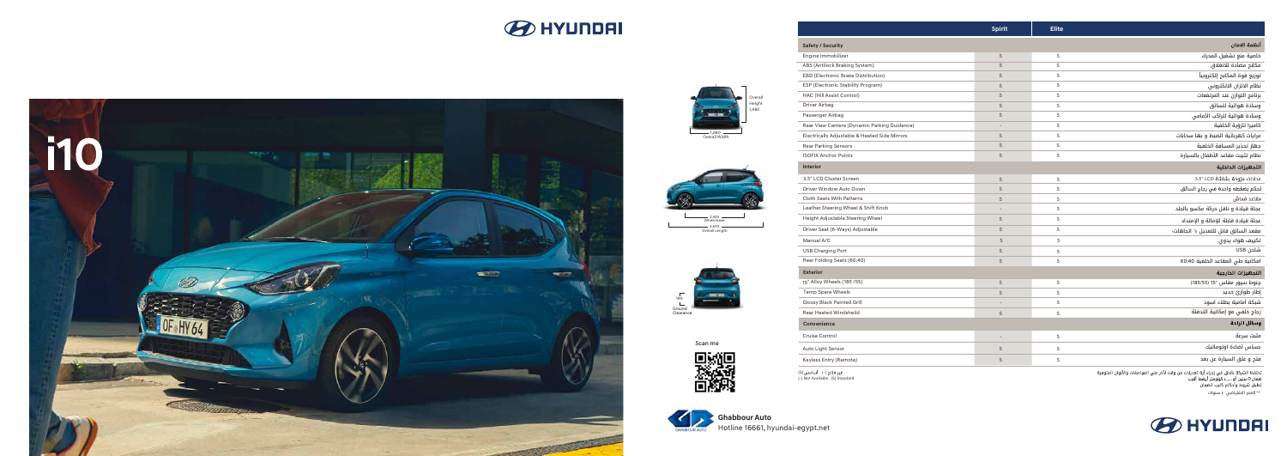**Ghabbour Auto** Hotline 16661, hyundai-egypt.net

غیر متاح (-) أساسی (S)<br>(-) Not Available (S) Standard

Scan me



|                                               | Spirit                   | <b>Elite</b> |                                      |
|-----------------------------------------------|--------------------------|--------------|--------------------------------------|
| <b>Safety / Security</b>                      |                          |              | أنظمة الامان                         |
| Engine Immobilizer                            | $\mathsf S$              | $\mathsf S$  | خاصية منع تشغيل المحرك               |
| ABS (Antilock Braking System)                 | S                        | $\mathsf S$  | مكابح مضادة للانغلاق                 |
| EBD (Electronic Brake Distribution)           | $\mathsf S$              | $\mathsf S$  | توزيع قوة المكابح إلكترونياً         |
| ESP (Electronic Stability Program)            | $\mathsf S$              | $\mathsf S$  | نظام الاتزان الالكتروني              |
| HAC (Hill Assist Control)                     | S                        | $\mathsf S$  | برنامج التوازن عند المرتفعات         |
| Driver Airbag                                 | $\mathsf S$              | $\mathsf S$  | وسادة هوائية للسائق                  |
| Passenger Airbag                              | $\mathsf S$              | $\mathsf S$  | وسادة هوائية للراكب الأمامى          |
| Rear View Camera (Dynamic Parking Guidance)   | $\overline{\phantom{a}}$ | $\mathsf S$  | كاميرا للرؤية الخلفية                |
| Electrically Adjustable & Heated Side Mirrors | $\mathsf S$              | $\mathsf S$  | مرايات كهربائية الضبط و بها سخانات   |
| <b>Rear Parking Sensors</b>                   | $\mathsf S$              | S            | جهاز تحذير المسافة الخلفية           |
| <b>ISOFIX Anchor Points</b>                   | $\mathsf S$              | $\mathsf S$  | نظام تثبيت مقاعد الأطفال بالسيارة    |
| <b>Interior</b>                               |                          |              | التجهيزات الداخلية                   |
| 3.5" LCD Cluster Screen                       | $\mathsf S$              | $\mathsf S$  | عدادات مزودة بشاشة 3.5" LCD          |
| Driver Window Auto Down                       | $\mathsf S$              | $\mathsf S$  | تحكم بضغطه واحدة في زجاج السائق      |
| <b>Cloth Seats With Patterns</b>              | S                        | $\mathsf S$  | مقاعد قماش                           |
| Leather Steering Wheel & Shift Knob           | $\overline{a}$           | $\mathsf S$  | عجلة قيادة و ناقل حركة مكسو بالجلد   |
| Height Adjustable Steering Wheel              | S                        | $\mathsf S$  | عجلة قيادة قابلة للإمالة و الإمتداد  |
| Driver Seat (6-Ways) Adjustable               | $\mathsf S$              | $\mathsf S$  | مقعد السائق قابل للتعديل (١ اتجاهات) |
| Manual A/C                                    | S                        | S            | تكييف هواء يدوى                      |
| <b>USB Charging Port</b>                      | $\mathsf S$              | $\mathsf S$  | شاحن USB                             |
| Rear Folding Seats (60:40)                    | $\mathsf S$              | $\mathsf S$  | امكانية طي المقاعد الخلفية 60:40     |
| <b>Exterior</b>                               |                          |              | التجهيزات الخارجية                   |
| 15" Alloy Wheels (185 /55)                    | $\mathsf S$              | S            | چنوط سپور مقاس "15 (185/55)          |
| <b>Temp Spare Wheels</b>                      | $\mathsf S$              | $\mathsf S$  | إطار طوارئ حديد                      |
| <b>Glossy Black Painted Grill</b>             |                          | $\mathsf S$  | شبكة أمامية بطلاء اسود               |
| <b>Rear Heated Windsheild</b>                 | S                        | $\mathsf S$  | زجاج خلفي مع إمكانية التدفئة         |
| Convenience                                   |                          |              | وسائل الراحة                         |
| Cruise Control                                | $\overline{\phantom{a}}$ | S            | مثبت سرعة                            |
| Auto Light Sensor                             | $\mathsf S$              | $\mathsf S$  | حساس اضاءة اوتوماتيك                 |
| Keyless Entry (Remote)                        | S                        | $\mathsf S$  | فتح و غلق السيارة عن بعد             |

تحتفظ الشركة بالحق في إجراء أية تعديلات من وقت لأخر علي المواصفات والألوان المتوفرة<br>ضمان 0 سنين أو ...,...ا كيلومتر أيهما أقرب<br>تطبق شروط وأحكام كتيب الضمان



— 3,670 —<br>Overall Length  $\frac{2,425}{\text{Wheel base}}$ 













\*\* العمر الافتراضي: ١٠ سنوات

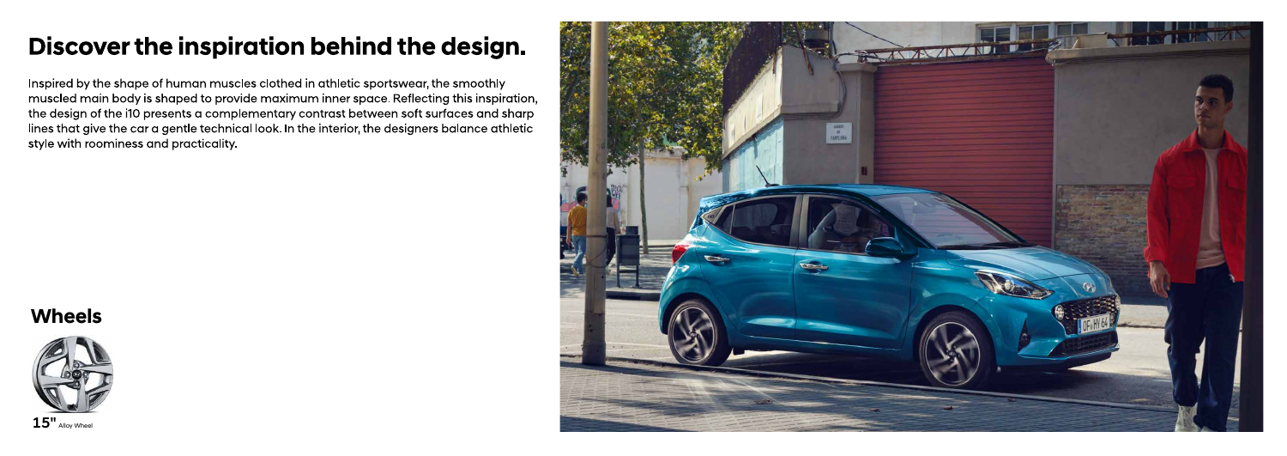# Discover the inspiration behind the design.

Inspired by the shape of human muscles clothed in athletic sportswear, the smoothly muscled main body is shaped to provide maximum inner space. Reflecting this inspiration, the design of the i10 presents a complementary contrast between soft surfaces and sharp lines that give the car a gentle technical look. In the interior, the designers balance athletic style with roominess and practicality.

## **Wheels**



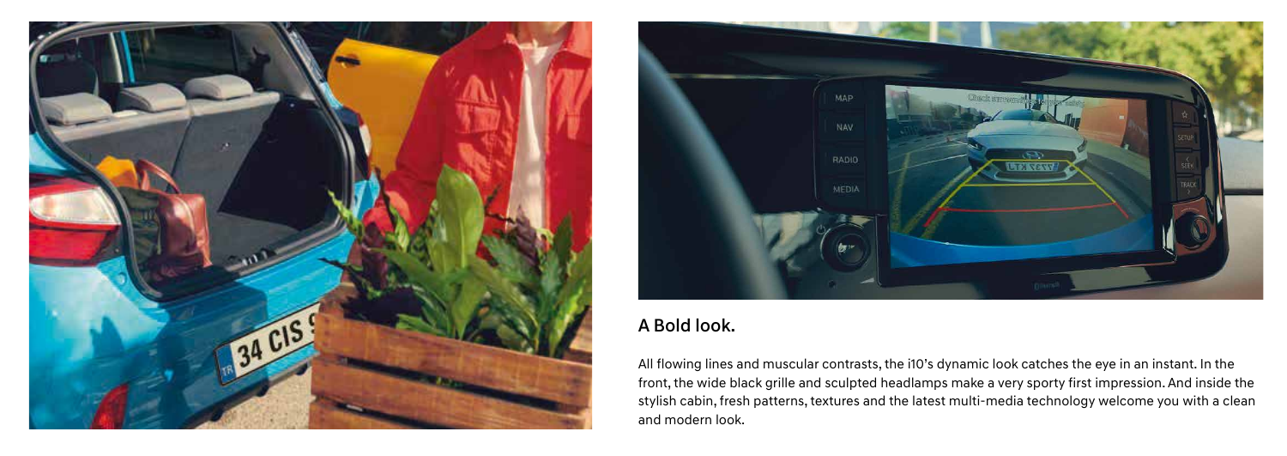

## A Bold look.

All flowing lines and muscular contrasts, the i10's dynamic look catches the eye in an instant. In the front, the wide black grille and sculpted headlamps make a very sporty first impression. And inside the stylish cabin, fresh patterns, textures and the latest multi-media technology welcome you with a clean and modern look.

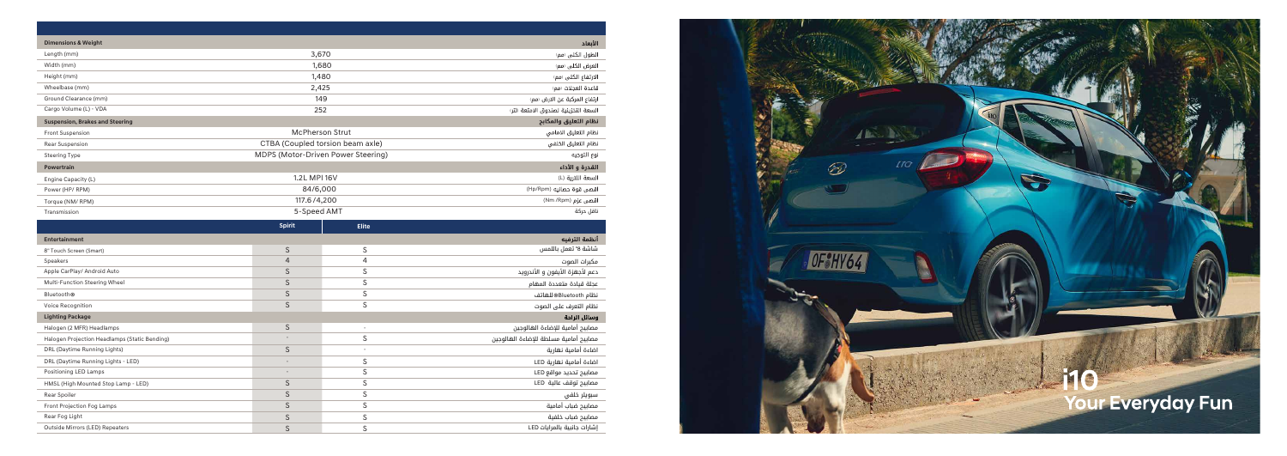| <b>Dimensions &amp; Weight</b><br>الأبعاد                       |                                    |                          |                                       |  |  |  |
|-----------------------------------------------------------------|------------------------------------|--------------------------|---------------------------------------|--|--|--|
| Length (mm)                                                     | 3,670                              |                          | الطول الكلى (مم)                      |  |  |  |
| Width (mm)                                                      | 1,680                              |                          | العرض الكلى رمم)                      |  |  |  |
| Height (mm)                                                     |                                    | 1,480                    | الارتفاع الكلى رمم)                   |  |  |  |
| Wheelbase (mm)                                                  | 2,425                              |                          | قاعدة العجلات رمم)                    |  |  |  |
| Ground Clearance (mm)                                           | 149                                |                          | ارتفاع المركبة عن الارض رمم،          |  |  |  |
| Cargo Volume (L) - VDA                                          | 252                                |                          | السعة التخزينية لصندوق الامتعة (لتر)  |  |  |  |
| نظام التعليق والمكابح<br><b>Suspension, Brakes and Steering</b> |                                    |                          |                                       |  |  |  |
| Front Suspension                                                | <b>McPherson Strut</b>             |                          | نظام التعليق الامامي                  |  |  |  |
| Rear Suspension                                                 | CTBA (Coupled torsion beam axle)   |                          | نظام التعليق الخلفي                   |  |  |  |
| <b>Steering Type</b>                                            | MDPS (Motor-Driven Power Steering) |                          | نوع التوجيه                           |  |  |  |
| <b>Powertrain</b>                                               |                                    |                          | القدرة و الأداء                       |  |  |  |
| Engine Capacity (L)                                             | 1.2L MPI 16V                       |                          | السعة اللترية (L)                     |  |  |  |
| Power (HP/RPM)                                                  | 84/6,000                           |                          | اقصى قوة حصانيه (Hp/Rpm)              |  |  |  |
| Torque (NM/RPM)                                                 | 117.6/4,200                        |                          | اقصی عزم (Nm /Rpm)                    |  |  |  |
| Transmission                                                    | 5-Speed AMT                        |                          | ناقل حركة                             |  |  |  |
|                                                                 | <b>Spirit</b>                      | <b>Elite</b>             |                                       |  |  |  |
| <b>Entertainment</b>                                            |                                    |                          | أنظمة الترفيه                         |  |  |  |
| 8" Touch Screen (Smart)                                         | $\mathsf S$                        | $\mathsf S$              | شاشة 8" تعمل باللمس                   |  |  |  |
| Speakers                                                        | $\overline{4}$                     | $\overline{4}$           | مكبرات الصوت                          |  |  |  |
| Apple CarPlay/ Android Auto                                     | $\mathsf S$                        | $\mathsf S$              | دعم لأجهزة الأيفون و الأندرويد        |  |  |  |
| Multi-Function Steering Wheel                                   | $\mathsf S$                        | $\mathsf S$              | عجلة قيادة متعددة المهام              |  |  |  |
| <b>Bluetooth®</b>                                               | $\mathsf S$                        | $\mathsf S$              | نظام Bluetooth®للهاتف                 |  |  |  |
| Voice Recognition                                               | $\mathsf S$                        | $\mathsf S$              | نظام التعرف على الصوت                 |  |  |  |
| <b>Lighting Package</b><br>وسائل الراحة                         |                                    |                          |                                       |  |  |  |
| Halogen (2 MFR) Headlamps                                       | $\mathsf S$                        | $\overline{\phantom{a}}$ | مصابيح أمامية للإضاءة الهالوجين       |  |  |  |
| Halogen Projection Headlamps (Static Bending)                   |                                    | $\mathsf S$              | مصابيح أمامية مسلطة للإضاءة الهالوجين |  |  |  |
| DRL (Daytime Running Lights)                                    | $\mathsf S$                        | ÷,                       | اضاءة أمامية نهارية                   |  |  |  |
| DRL (Daytime Running Lights - LED)                              |                                    | $\mathsf S$              | اضاءة أمامية نهارية LED               |  |  |  |
| Positioning LED Lamps                                           |                                    | S                        | مصابيح تحديد مواقع LED                |  |  |  |
| HMSL (High Mounted Stop Lamp - LED)                             | $\mathsf S$                        | $\mathsf S$              | مصابيح توقف عالية LED                 |  |  |  |
| Rear Spoiler                                                    | S                                  | $\mathsf S$              | سبويلر خلفي                           |  |  |  |
| Front Projection Fog Lamps                                      | $\mathsf S$                        | $\mathsf S$              | مصابيح ضباب أمامية                    |  |  |  |
| Rear Fog Light                                                  | $\mathsf S$                        | $\mathsf S$              | مصابيح ضباب خلفية                     |  |  |  |
| Outside Mirrors (LED) Repeaters                                 | $\mathsf S$                        | $\mathsf S$              | إشارات جانبية بالمرايات LED           |  |  |  |

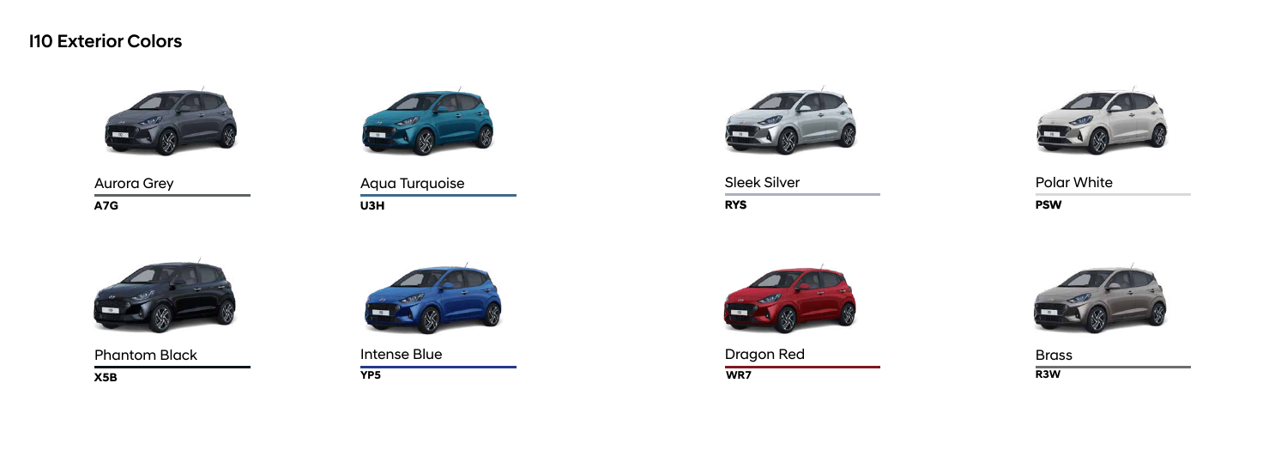**X5B YP5 WR7 R3W**

**A7G**



Aurora Grey

#### **U3H** Aqua Turquoise



Phantom Black **Example 20** Intense Blue **Dragon Red** Brass





**RYS**





#### Sleek Silver

**PSW** Polar White



#### I10 Exterior Colors